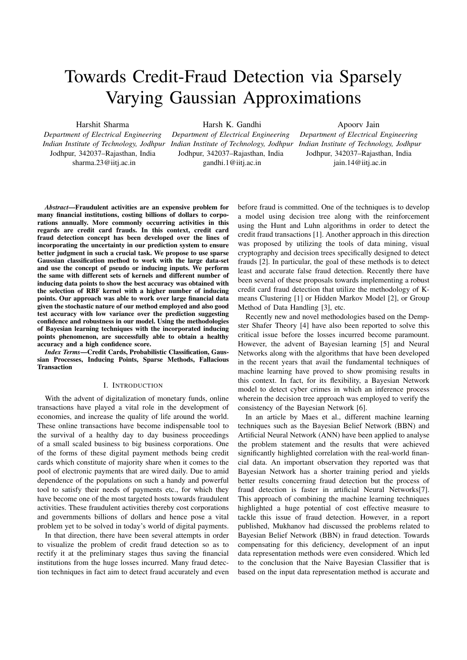# Towards Credit-Fraud Detection via Sparsely Varying Gaussian Approximations

Harshit Sharma

Department of Electrical Engineering Indian Institute of Technology, Jodhpur Indian Institute of Technology, Jodhpur Indian Institute of Technology, Jodhpur Jodhpur, 342037–Rajasthan, India sharma.23@iitj.ac.in

Harsh K. Gandhi Department of Electrical Engineering Jodhpur, 342037–Rajasthan, India

gandhi.1@iitj.ac.in

Apoorv Jain Department of Electrical Engineering Jodhpur, 342037–Rajasthan, India jain.14@iitj.ac.in

Abstract—Fraudulent activities are an expensive problem for many financial institutions, costing billions of dollars to corporations annually. More commonly occurring activities in this regards are credit card frauds. In this context, credit card fraud detection concept has been developed over the lines of incorporating the uncertainty in our prediction system to ensure better judgment in such a crucial task. We propose to use sparse Gaussian classification method to work with the large data-set and use the concept of pseudo or inducing inputs. We perform the same with different sets of kernels and different number of inducing data points to show the best accuracy was obtained with the selection of RBF kernel with a higher number of inducing points. Our approach was able to work over large financial data given the stochastic nature of our method employed and also good test accuracy with low variance over the prediction suggesting confidence and robustness in our model. Using the methodologies of Bayesian learning techniques with the incorporated inducing points phenomenon, are successfully able to obtain a healthy accuracy and a high confidence score.

Index Terms—Credit Cards, Probabilistic Classification, Gaussian Processes, Inducing Points, Sparse Methods, Fallacious **Transaction** 

## I. INTRODUCTION

With the advent of digitalization of monetary funds, online transactions have played a vital role in the development of economies, and increase the quality of life around the world. These online transactions have become indispensable tool to the survival of a healthy day to day business proceedings of a small scaled business to big business corporations. One of the forms of these digital payment methods being credit cards which constitute of majority share when it comes to the pool of electronic payments that are wired daily. Due to amid dependence of the populations on such a handy and powerful tool to satisfy their needs of payments etc., for which they have become one of the most targeted hosts towards fraudulent activities. These fraudulent activities thereby cost corporations and governments billions of dollars and hence pose a vital problem yet to be solved in today's world of digital payments.

In that direction, there have been several attempts in order to visualize the problem of credit fraud detection so as to rectify it at the preliminary stages thus saving the financial institutions from the huge losses incurred. Many fraud detection techniques in fact aim to detect fraud accurately and even before fraud is committed. One of the techniques is to develop a model using decision tree along with the reinforcement using the Hunt and Luhn algorithms in order to detect the credit fraud transactions [1]. Another approach in this direction was proposed by utilizing the tools of data mining, visual cryptography and decision trees specifically designed to detect frauds [2]. In particular, the goal of these methods is to detect least and accurate false fraud detection. Recently there have been several of these proposals towards implementing a robust credit card fraud detection that utilize the methodology of Kmeans Clustering [1] or Hidden Markov Model [2], or Group Method of Data Handling [3], etc.

Recently new and novel methodologies based on the Dempster Shafer Theory [4] have also been reported to solve this critical issue before the losses incurred become paramount. However, the advent of Bayesian learning [5] and Neural Networks along with the algorithms that have been developed in the recent years that avail the fundamental techniques of machine learning have proved to show promising results in this context. In fact, for its flexibility, a Bayesian Network model to detect cyber crimes in which an inference process wherein the decision tree approach was employed to verify the consistency of the Bayesian Network [6].

In an article by Maes et al., different machine learning techniques such as the Bayesian Belief Network (BBN) and Artificial Neural Network (ANN) have been applied to analyse the problem statement and the results that were achieved significantly highlighted correlation with the real-world financial data. An important observation they reported was that Bayesian Network has a shorter training period and yields better results concerning fraud detection but the process of fraud detection is faster in artificial Neural Networks[7]. This approach of combining the machine learning techniques highlighted a huge potential of cost effective measure to tackle this issue of fraud detection. However, in a report published, Mukhanov had discussed the problems related to Bayesian Belief Network (BBN) in fraud detection. Towards compensating for this deficiency, development of an input data representation methods were even considered. Which led to the conclusion that the Naive Bayesian Classifier that is based on the input data representation method is accurate and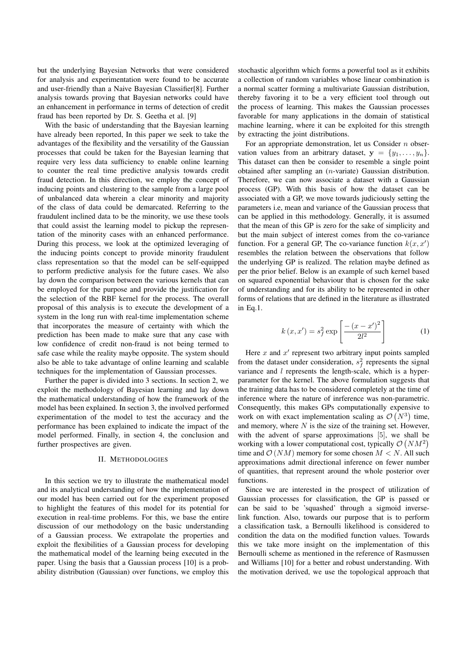but the underlying Bayesian Networks that were considered for analysis and experimentation were found to be accurate and user-friendly than a Naive Bayesian Classifier[8]. Further analysis towards proving that Bayesian networks could have an enhancement in performance in terms of detection of credit fraud has been reported by Dr. S. Geetha et al. [9]

With the basic of understanding that the Bayesian learning have already been reported, In this paper we seek to take the advantages of the flexibility and the versatility of the Gaussian processes that could be taken for the Bayesian learning that require very less data sufficiency to enable online learning to counter the real time predictive analysis towards credit fraud detection. In this direction, we employ the concept of inducing points and clustering to the sample from a large pool of unbalanced data wherein a clear minority and majority of the class of data could be demarcated. Referring to the fraudulent inclined data to be the minority, we use these tools that could assist the learning model to pickup the representation of the minority cases with an enhanced performance. During this process, we look at the optimized leveraging of the inducing points concept to provide minority fraudulent class representation so that the model can be self-equipped to perform predictive analysis for the future cases. We also lay down the comparison between the various kernels that can be employed for the purpose and provide the justification for the selection of the RBF kernel for the process. The overall proposal of this analysis is to execute the development of a system in the long run with real-time implementation scheme that incorporates the measure of certainty with which the prediction has been made to make sure that any case with low confidence of credit non-fraud is not being termed to safe case while the reality maybe opposite. The system should also be able to take advantage of online learning and scalable techniques for the implementation of Gaussian processes.

Further the paper is divided into 3 sections. In section 2, we exploit the methodology of Bayesian learning and lay down the mathematical understanding of how the framework of the model has been explained. In section 3, the involved performed experimentation of the model to test the accuracy and the performance has been explained to indicate the impact of the model performed. Finally, in section 4, the conclusion and further prospectives are given.

## II. METHODOLOGIES

In this section we try to illustrate the mathematical model and its analytical understanding of how the implementation of our model has been carried out for the experiment proposed to highlight the features of this model for its potential for execution in real-time problems. For this, we base the entire discussion of our methodology on the basic understanding of a Gaussian process. We extrapolate the properties and exploit the flexibilities of a Gaussian process for developing the mathematical model of the learning being executed in the paper. Using the basis that a Gaussian process [10] is a probability distribution (Gaussian) over functions, we employ this

stochastic algorithm which forms a powerful tool as it exhibits a collection of random variables whose linear combination is a normal scatter forming a multivariate Gaussian distribution, thereby favoring it to be a very efficient tool through out the process of learning. This makes the Gaussian processes favorable for many applications in the domain of statistical machine learning, where it can be exploited for this strength by extracting the joint distributions.

For an appropriate demonstration, let us Consider  $n$  observation values from an arbitrary dataset,  $y = \{y_1, \ldots, y_n\}.$ This dataset can then be consider to resemble a single point obtained after sampling an (n-variate) Gaussian distribution. Therefore, we can now associate a dataset with a Gaussian process (GP). With this basis of how the dataset can be associated with a GP, we move towards judiciously setting the parameters i.e, mean and variance of the Gaussian process that can be applied in this methodology. Generally, it is assumed that the mean of this GP is zero for the sake of simplicity and but the main subject of interest comes from the co-variance function. For a general GP, The co-variance function  $k(x, x')$ resembles the relation between the observations that follow the underlying GP is realized. The relation maybe defined as per the prior belief. Below is an example of such kernel based on squared exponential behaviour that is chosen for the sake of understanding and for its ability to be represented in other forms of relations that are defined in the literature as illustrated in Eq.1.

$$
k(x, x') = s_f^2 \exp\left[\frac{-(x - x')^2}{2l^2}\right]
$$
 (1)

Here  $x$  and  $x'$  represent two arbitrary input points sampled from the dataset under consideration,  $s_f^2$  represents the signal variance and *l* represents the length-scale, which is a hyperparameter for the kernel. The above formulation suggests that the training data has to be considered completely at the time of inference where the nature of inrference was non-parametric. Consequently, this makes GPs computationally expensive to work on with exact implementation scaling as  $\mathcal{O}(N^3)$  time, and memory, where  $N$  is the size of the training set. However, with the advent of sparse approximations [5], we shall be working with a lower computational cost, typically  $\mathcal{O}(NM^2)$ time and  $\mathcal{O}(NM)$  memory for some chosen  $M < N$ . All such approximations admit directional inference on fewer number of quantities, that represent around the whole posterior over functions.

Since we are interested in the prospect of utilization of Gaussian processes for classification, the GP is passed or can be said to be 'squashed' through a sigmoid inverselink function. Also, towards our purpose that is to perform a classification task, a Bernoulli likelihood is considered to condition the data on the modified function values. Towards this we take more insight on the implementation of this Bernoulli scheme as mentioned in the reference of Rasmussen and Williams [10] for a better and robust understanding. With the motivation derived, we use the topological approach that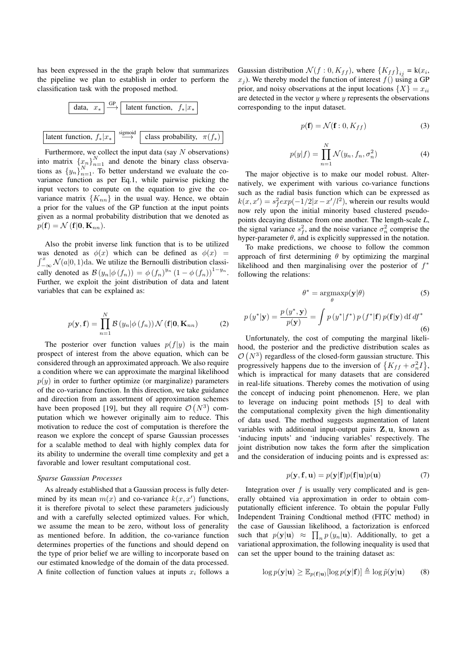has been expressed in the the graph below that summarizes the pipeline we plan to establish in order to perform the classification task with the proposed method.



Furthermore, we collect the input data (say  $N$  observations) into matrix  $\{x_n\}_{n=1}^N$  and denote the binary class observations as  $\{y_n\}_{n=1}^N$ . To better understand we evaluate the covariance function as per Eq.1, while pairwise picking the input vectors to compute on the equation to give the covariance matrix  ${K_{nn}}$  in the usual way. Hence, we obtain a prior for the values of the GP function at the input points given as a normal probability distribution that we denoted as  $p(\mathbf{f}) = \mathcal{N}(\mathbf{f}|\mathbf{0}, \mathbf{K}_{nn}).$ 

Also the probit inverse link function that is to be utilized was denoted as  $\phi(x)$  which can be defined as  $\phi(x)$  =  $\int_{-\infty}^{x} \mathcal{N}(a|0, 1)$ da. We utilize the Bernoulli distribution classically denoted as  $\mathcal{B}(y_n|\phi(f_n)) = \phi(f_n)^{y_n} (1 - \phi(f_n))^{1-y_n}$ . Further, we exploit the joint distribution of data and latent variables that can be explained as:

$$
p(\mathbf{y}, \mathbf{f}) = \prod_{n=1}^{N} \mathcal{B}\left(y_n | \phi\left(f_n\right)\right) \mathcal{N}\left(\mathbf{f} | \mathbf{0}, \mathbf{K}_{nn}\right) \tag{2}
$$

The posterior over function values  $p(f|y)$  is the main prospect of interest from the above equation, which can be considered through an approximated approach. We also require a condition where we can approximate the marginal likelihood  $p(y)$  in order to further optimize (or marginalize) parameters of the co-variance function. In this direction, we take guidance and direction from an assortment of approximation schemes have been proposed [19], but they all require  $\mathcal{O}(N^3)$  computation which we however originally aim to reduce. This motivation to reduce the cost of computation is therefore the reason we explore the concept of sparse Gaussian processes for a scalable method to deal with highly complex data for its ability to undermine the overall time complexity and get a favorable and lower resultant computational cost.

#### Sparse Gaussian Processes

As already established that a Gaussian process is fully determined by its mean  $m(x)$  and co-variance  $k(x, x')$  functions, it is therefore pivotal to select these parameters judiciously and with a carefully selected optimized values. For which, we assume the mean to be zero, without loss of generality as mentioned before. In addition, the co-variance function determines properties of the functions and should depend on the type of prior belief we are willing to incorporate based on our estimated knowledge of the domain of the data processed. A finite collection of function values at inputs  $x_i$  follows a

Gaussian distribution  $\mathcal{N}(f:0, K_{ff})$ , where  $\{K_{ff}\}_{ij} = k(x_i,$  $x_j$ ). We thereby model the function of interest  $f()$  using a GP prior, and noisy observations at the input locations  $\{X\} = x_{ii}$ are detected in the vector  $y$  where  $y$  represents the observations corresponding to the input dataset.

$$
p(\mathbf{f}) = \mathcal{N}(\mathbf{f} : 0, K_{ff})
$$
\n(3)

$$
p(y|f) = \prod_{n=1}^{N} \mathcal{N}(y_n, f_n, \sigma_n^2)
$$
\n(4)

The major objective is to make our model robust. Alternatively, we experiment with various co-variance functions such as the radial basis function which can be expressed as  $k(x, x') = s_f^2 exp(-1/2|x - x'/l^2)$ , wherein our results would now rely upon the initial minority based clustered pseudopoints decaying distance from one another. The length-scale L, the signal variance  $s_f^2$ , and the noise variance  $\sigma_n^2$  comprise the hyper-parameter  $\theta$ , and is explicitly suppressed in the notation.

To make predictions, we choose to follow the common approach of first determining  $\theta$  by optimizing the marginal likelihood and then marginalising over the posterior of  $f^*$ following the relations:

$$
\theta^* = \underset{\theta}{\operatorname{argmax}} p(\mathbf{y}|\theta) \tag{5}
$$

$$
p(y^*|\mathbf{y}) = \frac{p(y^*, \mathbf{y})}{p(\mathbf{y})} = \int p(y^*|f^*) p(f^*|\mathbf{f}) p(\mathbf{f}|\mathbf{y}) \,d\mathbf{f} \,df^*
$$
\n(6)

Unfortunately, the cost of computing the marginal likelihood, the posterior and the predictive distribution scales as  $\mathcal{O}(N^3)$  regardless of the closed-form gaussian structure. This progressively happens due to the inversion of  $\{K_{ff} + \sigma_n^2 I\}$ , which is impractical for many datasets that are considered in real-life situations. Thereby comes the motivation of using the concept of inducing point phenomenon. Here, we plan to leverage on inducing point methods [5] to deal with the computational complexity given the high dimentionality of data used. The method suggests augmentation of latent variables with additional input-output pairs Z, u, known as 'inducing inputs' and 'inducing variables' respectively. The joint distribution now takes the form after the simplication and the consideration of inducing points and is expressed as:

$$
p(\mathbf{y}, \mathbf{f}, \mathbf{u}) = p(\mathbf{y}|\mathbf{f})p(\mathbf{f}|\mathbf{u})p(\mathbf{u})
$$
\n(7)

Integration over  $f$  is usually very complicated and is generally obtained via approximation in order to obtain computationally efficient inference. To obtain the popular Fully Independent Training Condtional method (FITC method) in the case of Gaussian likelihood, a factorization is enforced such that  $p(\mathbf{y}|\mathbf{u}) \approx \prod_n p(y_n|\mathbf{u})$ . Additionally, to get a variational approximation, the following inequality is used that can set the upper bound to the training dataset as:

$$
\log p(\mathbf{y}|\mathbf{u}) \ge \mathbb{E}_{p(\mathbf{f}|\mathbf{u})}[\log p(\mathbf{y}|\mathbf{f})] \triangleq \log \tilde{p}(\mathbf{y}|\mathbf{u}) \tag{8}
$$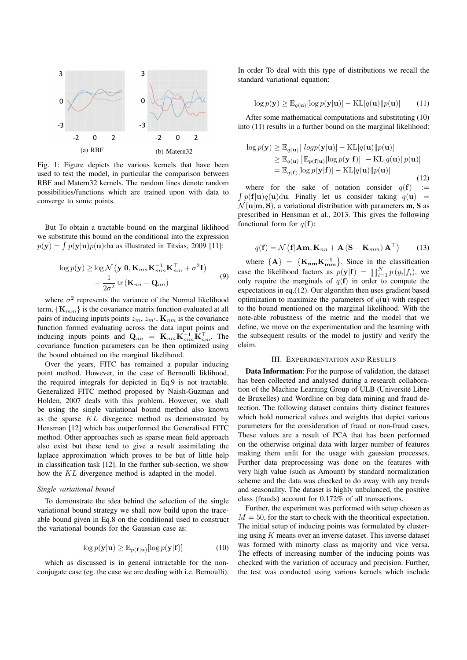

Fig. 1: Figure depicts the various kernels that have been used to test the model, in particular the comparison between RBF and Matern32 kernels. The random lines denote random possibilities/functions which are trained upon with data to converge to some points.

But To obtain a tractable bound on the marginal liklihood we substitute this bound on the conditional into the expression  $p(\mathbf{y}) = \int p(\mathbf{y}|\mathbf{u})p(\mathbf{u})d\mathbf{u}$  as illustrated in Titsias, 2009 [11]:

$$
\log p(\mathbf{y}) \ge \log \mathcal{N}\left(\mathbf{y}|\mathbf{0}, \mathbf{K}_{nm}\mathbf{K}_{mm}^{-1}\mathbf{K}_{nm}^{\top} + \sigma^2 \mathbf{I}\right) - \frac{1}{2\sigma^2} tr\left(\mathbf{K}_{nn} - \mathbf{Q}_{nn}\right)
$$
(9)

where  $\sigma^2$  represents the variance of the Normal likelihood term,  ${K_{mm}}$  is the covariance matrix function evaluated at all pairs of inducing inputs points  $z_m$ ,  $z_{m'}$ ,  $\mathbf{K}_{nm}$  is the covariance function formed evaluating across the data input points and inducing inputs points and  $\mathbf{Q}_{nn} = \mathbf{K}_{nm} \mathbf{K}_{mm}^{-1} \mathbf{K}_{nm}^{\top}$ . The covariance function parameters can be then optimized using the bound obtained on the marginal likelihood.

Over the years, FITC has remained a popular inducing point method. However, in the case of Bernoulli liklihood, the required integrals for depicted in Eq.9 is not tractable. Generalized FITC method proposed by Naish-Guzman and Holden, 2007 deals with this problem. However, we shall be using the single variational bound method also known as the sparse KL divegence method as demonstrated by Hensman [12] which has outperformed the Generalised FITC method. Other approaches such as sparse mean field approach also exist but these tend to give a result assimilating the laplace approximation which proves to be but of little help in classification task [12]. In the further sub-section, we show how the KL divergence method is adapted in the model.

#### Single variational bound

To demonstrate the idea behind the selection of the single variational bound strategy we shall now build upon the traceable bound given in Eq.8 on the conditional used to construct the variational bounds for the Gaussian case as:

$$
\log p(\mathbf{y}|\mathbf{u}) \ge \mathbb{E}_{p(\mathbf{f}|\mathbf{u})}[\log p(\mathbf{y}|\mathbf{f})] \tag{10}
$$

which as discussed is in general intractable for the nonconjugate case (eg. the case we are dealing with i.e. Bernoulli). In order To deal with this type of distributions we recall the standard variational equation:

$$
\log p(\mathbf{y}) \ge \mathbb{E}_{q(\mathbf{u})}[\log p(\mathbf{y}|\mathbf{u})] - \mathrm{KL}[q(\mathbf{u})||p(\mathbf{u})] \qquad (11)
$$

After some mathematical computations and substituting (10) into (11) results in a further bound on the marginal likelihood:

$$
\log p(\mathbf{y}) \geq \mathbb{E}_{q(\mathbf{u})}[\log p(\mathbf{y}|\mathbf{u})] - \text{KL}[q(\mathbf{u})||p(\mathbf{u})] \geq \mathbb{E}_{q(\mathbf{u})}[\mathbb{E}_{p(\mathbf{f}|\mathbf{u})}[\log p(\mathbf{y}|\mathbf{f})]] - \text{KL}[q(\mathbf{u})||p(\mathbf{u})] = \mathbb{E}_{q(\mathbf{f})}[\log p(\mathbf{y}|\mathbf{f})] - \text{KL}[q(\mathbf{u})||p(\mathbf{u})]
$$
\n(12)

where for the sake of notation consider  $q(f)$  :=  $\int p(\mathbf{f}|\mathbf{u})q(\mathbf{u})d\mathbf{u}$ . Finally let us consider taking  $q(\mathbf{u})$  =  $\mathcal{N}(\mathbf{u}|\mathbf{m}, \mathbf{S})$ , a variational distribution with parameters **m**, **S** as prescribed in Hensman et al., 2013. This gives the following functional form for  $q(\mathbf{f})$ :

$$
q(\mathbf{f}) = \mathcal{N}\left(\mathbf{f}|\mathbf{A}\mathbf{m}, \mathbf{K}_{nn} + \mathbf{A}\left(\mathbf{S} - \mathbf{K}_{mm}\right)\mathbf{A}^{\top}\right) \tag{13}
$$

where  ${A} = {K_{nm}K_{mm}^{-1}}$ . Since in the classification case the likelihood factors as  $p(\mathbf{y}|\mathbf{f}) = \prod_{i=1}^{N} p(y_i|f_i)$ , we only require the marginals of  $q(f)$  in order to compute the expectations in eq.(12). Our algorithm then uses gradient based optimization to maximize the parameters of  $q(\mathbf{u})$  with respect to the bound mentioned on the marginal likelihood. With the note-able robustness of the metric and the model that we define, we move on the experimentation and the learning with the subsequent results of the model to justify and verify the claim.

#### III. EXPERIMENTATION AND RESULTS

Data Information: For the purpose of validation, the dataset has been collected and analysed during a research collaboration of the Machine Learning Group of ULB (Université Libre de Bruxelles) and Wordline on big data mining and fraud detection. The following dataset contains thirty distinct features which hold numerical values and weights that depict various parameters for the consideration of fraud or non-fraud cases. These values are a result of PCA that has been performed on the otherwise original data with larger number of features making them unfit for the usage with gaussian processes. Further data preprocessing was done on the features with very high value (such as Amount) by standard normalization scheme and the data was checked to do away with any trends and seasonality. The dataset is highly unbalanced, the positive class (frauds) account for 0.172% of all transactions.

Further, the experiment was performed with setup chosen as  $M = 50$ , for the start to check with the theoritical expectation. The initial setup of inducing points was formulated by clustering using  $K$  means over an inverse dataset. This inverse dataset was formed with minorty class as majority and vice versa. The effects of increasing number of the inducing points was checked with the variation of accuracy and precision. Further, the test was conducted using various kernels which include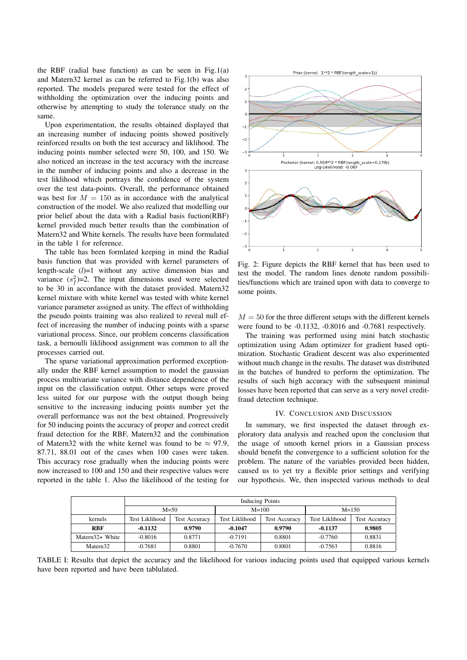the RBF (radial base function) as can be seen in Fig.1(a) and Matern32 kernel as can be referred to Fig.1(b) was also reported. The models prepared were tested for the effect of withholding the optimization over the inducing points and otherwise by attempting to study the tolerance study on the same.

Upon experimentation, the results obtained displayed that an increasing number of inducing points showed positively reinforced results on both the test accuracy and liklihood. The inducing points number selected were 50, 100, and 150. We also noticed an increase in the test accuracy with the increase in the number of inducing points and also a decrease in the test liklihood which portrays the confidence of the system over the test data-points. Overall, the performance obtained was best for  $M = 150$  as in accordance with the analytical construction of the model. We also realized that modelling our prior belief about the data with a Radial basis fuction(RBF) kernel provided much better results than the combination of Matern32 and White kernels. The results have been formulated in the table 1 for reference.

The table has been formlated keeping in mind the Radial basis function that was provided with kernel parameters of length-scale  $(l)=1$  without any active dimension bias and variance  $(s_f^2)$ =2. The input dimensions used were selected to be 30 in accordance with the dataset provided. Matern32 kernel mixture with white kernel was tested with white kernel variance parameter assigned as unity. The effect of withholding the pseudo points training was also realized to reveal null effect of increasing the number of inducing points with a sparse variational process. Since, our problem concerns classification task, a bernoulli liklihood assignment was common to all the processes carried out.

The sparse variational approximation performed exceptionally under the RBF kernel assumption to model the gaussian process multivariate variance with distance dependence of the input on the classification output. Other setups were proved less suited for our purpose with the output though being sensitive to the increasing inducing points number yet the overall performance was not the best obtained. Progressively for 50 inducing points the accuracy of proper and correct credit fraud detection for the RBF, Matern32 and the combination of Matern32 with the white kernel was found to be  $\approx 97.9$ , 87.71, 88.01 out of the cases when 100 cases were taken. This accuracy rose gradually when the inducing points were now increased to 100 and 150 and their respective values were reported in the table 1. Also the likelihood of the testing for



Fig. 2: Figure depicts the RBF kernel that has been used to test the model. The random lines denote random possibilities/functions which are trained upon with data to converge to some points.

 $M = 50$  for the three different setups with the different kernels were found to be -0.1132, -0.8016 and -0.7681 respectively.

The training was performed using mini batch stochastic optimization using Adam optimizer for gradient based optimization. Stochastic Gradient descent was also experimented without much change in the results. The dataset was distributed in the batches of hundred to perform the optimization. The results of such high accuracy with the subsequent minimal losses have been reported that can serve as a very novel creditfraud detection technique.

### IV. CONCLUSION AND DISCUSSION

In summary, we first inspected the dataset through exploratory data analysis and reached upon the conclusion that the usage of smooth kernel priors in a Gaussian process should benefit the convergence to a sufficient solution for the problem. The nature of the variables provided been hidden, caused us to yet try a flexible prior settings and verifying our hypothesis. We, then inspected various methods to deal

|                      | <b>Inducing Points</b> |                      |                |                      |                |                      |
|----------------------|------------------------|----------------------|----------------|----------------------|----------------|----------------------|
|                      | $M = 50$               |                      | $M = 100$      |                      | $M = 150$      |                      |
| kernels              | Test Liklihood         | <b>Test Accuracy</b> | Test Liklihood | <b>Test Accuracy</b> | Test Liklihood | <b>Test Accuracy</b> |
| <b>RBF</b>           | $-0.1132$              | 0.9790               | $-0.1047$      | 0.9790               | $-0.1137$      | 0.9805               |
| Matern32+ White      | $-0.8016$              | 0.8771               | $-0.7191$      | 0.8801               | $-0.7760$      | 0.8831               |
| Matern <sub>32</sub> | $-0.7681$              | 0.8801               | $-0.7670$      | 0.8801               | $-0.7563$      | 0.8816               |

TABLE I: Results that depict the accuracy and the likelihood for various inducing points used that equipped various kernels have been reported and have been tablulated.